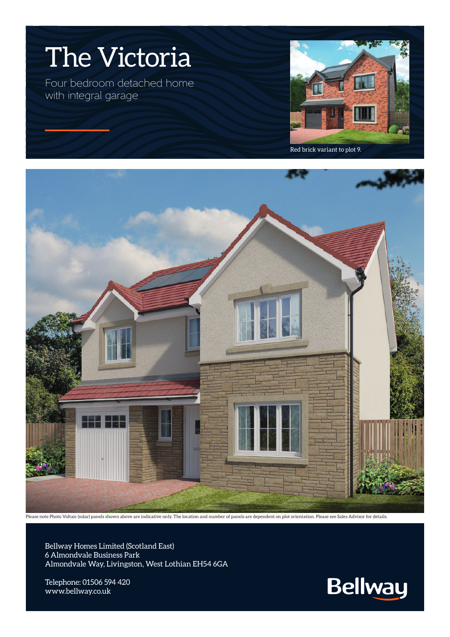

Red brick variant to plot 9.



Please note Photo Voltaic (solar) panels shown above are indicative only. The location and number of panels are dependent on plot orientation. Please see Sales Advisor for details.

Bellway Homes Limited (Scotland East) 6 Almondvale Business Park Almondvale Way, Livingston, West Lothian EH54 6GA

Telephone: 01506 594 420 www.bellway.co.uk